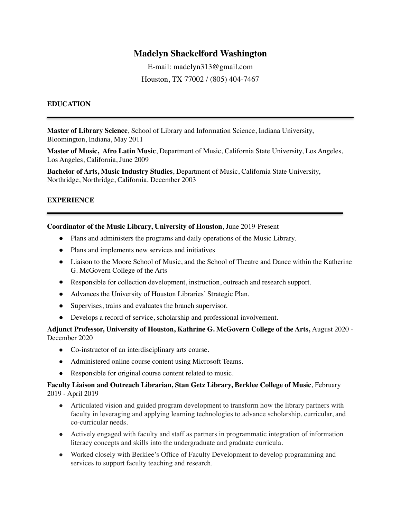# **Madelyn Shackelford Washington**

E-mail: madelyn313@gmail.com Houston, TX 77002 / (805) 404-7467

### **EDUCATION**

**Master of Library Science**, School of Library and Information Science, Indiana University, Bloomington, Indiana, May 2011

**Master of Music, Afro Latin Music**, Department of Music, California State University, Los Angeles, Los Angeles, California, June 2009

**Bachelor of Arts, Music Industry Studies**, Department of Music, California State University, Northridge, Northridge, California, December 2003

## **EXPERIENCE**

**Coordinator of the Music Library, University of Houston**, June 2019-Present

- Plans and administers the programs and daily operations of the Music Library.
- Plans and implements new services and initiatives
- Liaison to the Moore School of Music, and the School of Theatre and Dance within the Katherine G. McGovern College of the Arts
- Responsible for collection development, instruction, outreach and research support.
- Advances the University of Houston Libraries' Strategic Plan.
- Supervises, trains and evaluates the branch supervisor.
- Develops a record of service, scholarship and professional involvement.

## **Adjunct Professor, University of Houston, Kathrine G. McGovern College of the Arts,** August 2020 - December 2020

- Co-instructor of an interdisciplinary arts course.
- Administered online course content using Microsoft Teams.
- Responsible for original course content related to music.

### **Faculty Liaison and Outreach Librarian, Stan Getz Library, Berklee College of Music**, February 2019 - April 2019

- Articulated vision and guided program development to transform how the library partners with faculty in leveraging and applying learning technologies to advance scholarship, curricular, and co-curricular needs.
- Actively engaged with faculty and staff as partners in programmatic integration of information literacy concepts and skills into the undergraduate and graduate curricula.
- Worked closely with Berklee's Office of Faculty Development to develop programming and services to support faculty teaching and research.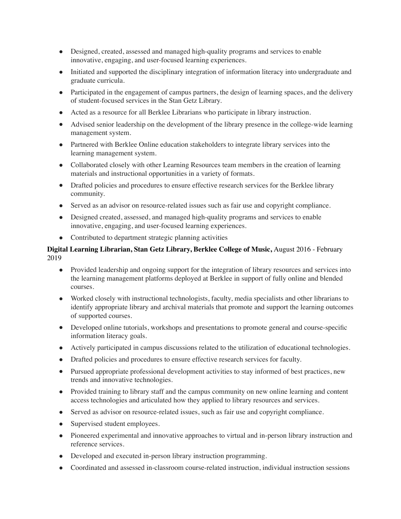- Designed, created, assessed and managed high-quality programs and services to enable innovative, engaging, and user-focused learning experiences.
- Initiated and supported the disciplinary integration of information literacy into undergraduate and graduate curricula.
- Participated in the engagement of campus partners, the design of learning spaces, and the delivery of student-focused services in the Stan Getz Library.
- Acted as a resource for all Berklee Librarians who participate in library instruction.
- Advised senior leadership on the development of the library presence in the college-wide learning management system.
- Partnered with Berklee Online education stakeholders to integrate library services into the learning management system.
- Collaborated closely with other Learning Resources team members in the creation of learning materials and instructional opportunities in a variety of formats.
- Drafted policies and procedures to ensure effective research services for the Berklee library community.
- Served as an advisor on resource-related issues such as fair use and copyright compliance.
- Designed created, assessed, and managed high-quality programs and services to enable innovative, engaging, and user-focused learning experiences.
- Contributed to department strategic planning activities

## **Digital Learning Librarian, Stan Getz Library, Berklee College of Music,** August 2016 - February 2019

- Provided leadership and ongoing support for the integration of library resources and services into the learning management platforms deployed at Berklee in support of fully online and blended courses.
- Worked closely with instructional technologists, faculty, media specialists and other librarians to identify appropriate library and archival materials that promote and support the learning outcomes of supported courses.
- Developed online tutorials, workshops and presentations to promote general and course-specific information literacy goals.
- Actively participated in campus discussions related to the utilization of educational technologies.
- Drafted policies and procedures to ensure effective research services for faculty.
- Pursued appropriate professional development activities to stay informed of best practices, new trends and innovative technologies.
- Provided training to library staff and the campus community on new online learning and content access technologies and articulated how they applied to library resources and services.
- Served as advisor on resource-related issues, such as fair use and copyright compliance.
- Supervised student employees.
- Pioneered experimental and innovative approaches to virtual and in-person library instruction and reference services.
- Developed and executed in-person library instruction programming.
- Coordinated and assessed in-classroom course-related instruction, individual instruction sessions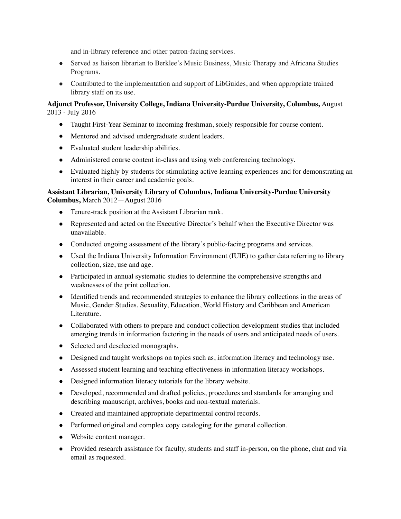and in-library reference and other patron-facing services.

- Served as liaison librarian to Berklee's Music Business, Music Therapy and Africana Studies Programs.
- Contributed to the implementation and support of LibGuides, and when appropriate trained library staff on its use.

## **Adjunct Professor, University College, Indiana University-Purdue University, Columbus,** August 2013 - July 2016

- Taught First-Year Seminar to incoming freshman, solely responsible for course content.
- Mentored and advised undergraduate student leaders.
- Evaluated student leadership abilities.
- Administered course content in-class and using web conferencing technology.
- Evaluated highly by students for stimulating active learning experiences and for demonstrating an interest in their career and academic goals.

## **Assistant Librarian, University Library of Columbus, Indiana University-Purdue University Columbus,** March 2012—August 2016

- Tenure-track position at the Assistant Librarian rank.
- Represented and acted on the Executive Director's behalf when the Executive Director was unavailable.
- Conducted ongoing assessment of the library's public-facing programs and services.
- Used the Indiana University Information Environment (IUIE) to gather data referring to library collection, size, use and age.
- Participated in annual systematic studies to determine the comprehensive strengths and weaknesses of the print collection.
- Identified trends and recommended strategies to enhance the library collections in the areas of Music, Gender Studies, Sexuality, Education, World History and Caribbean and American Literature.
- Collaborated with others to prepare and conduct collection development studies that included emerging trends in information factoring in the needs of users and anticipated needs of users.
- Selected and deselected monographs.
- Designed and taught workshops on topics such as, information literacy and technology use.
- Assessed student learning and teaching effectiveness in information literacy workshops.
- Designed information literacy tutorials for the library website.
- Developed, recommended and drafted policies, procedures and standards for arranging and describing manuscript, archives, books and non-textual materials.
- Created and maintained appropriate departmental control records.
- Performed original and complex copy cataloging for the general collection.
- Website content manager.
- Provided research assistance for faculty, students and staff in-person, on the phone, chat and via email as requested.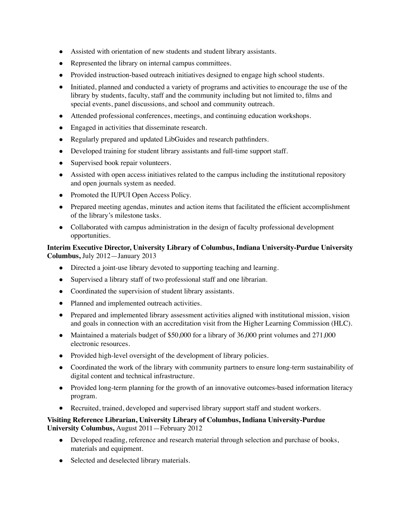- Assisted with orientation of new students and student library assistants.
- Represented the library on internal campus committees.
- Provided instruction-based outreach initiatives designed to engage high school students.
- Initiated, planned and conducted a variety of programs and activities to encourage the use of the library by students, faculty, staff and the community including but not limited to, films and special events, panel discussions, and school and community outreach.
- Attended professional conferences, meetings, and continuing education workshops.
- Engaged in activities that disseminate research.
- Regularly prepared and updated LibGuides and research pathfinders.
- Developed training for student library assistants and full-time support staff.
- Supervised book repair volunteers.
- Assisted with open access initiatives related to the campus including the institutional repository and open journals system as needed.
- Promoted the IUPUI Open Access Policy.
- Prepared meeting agendas, minutes and action items that facilitated the efficient accomplishment of the library's milestone tasks.
- Collaborated with campus administration in the design of faculty professional development opportunities.

## **Interim Executive Director, University Library of Columbus, Indiana University-Purdue University Columbus,** July 2012—January 2013

- Directed a joint-use library devoted to supporting teaching and learning.
- Supervised a library staff of two professional staff and one librarian.
- Coordinated the supervision of student library assistants.
- Planned and implemented outreach activities.
- Prepared and implemented library assessment activities aligned with institutional mission, vision and goals in connection with an accreditation visit from the Higher Learning Commission (HLC).
- Maintained a materials budget of \$50,000 for a library of 36,000 print volumes and 271,000 electronic resources.
- Provided high-level oversight of the development of library policies.
- Coordinated the work of the library with community partners to ensure long-term sustainability of digital content and technical infrastructure.
- Provided long-term planning for the growth of an innovative outcomes-based information literacy program.
- Recruited, trained, developed and supervised library support staff and student workers.

## **Visiting Reference Librarian, University Library of Columbus, Indiana University-Purdue University Columbus,** August 2011—February 2012

- Developed reading, reference and research material through selection and purchase of books, materials and equipment.
- Selected and deselected library materials.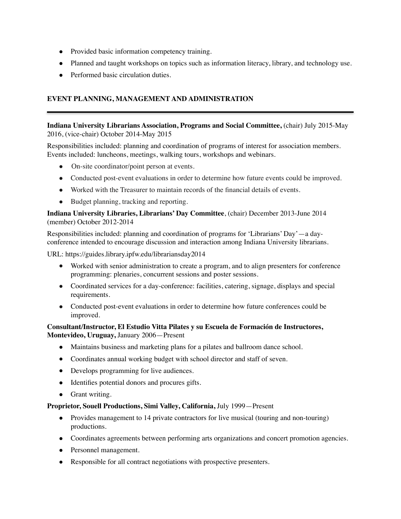- Provided basic information competency training.
- Planned and taught workshops on topics such as information literacy, library, and technology use.
- Performed basic circulation duties.

## **EVENT PLANNING, MANAGEMENT AND ADMINISTRATION**

## **Indiana University Librarians Association, Programs and Social Committee,** (chair) July 2015-May 2016, (vice-chair) October 2014-May 2015

Responsibilities included: planning and coordination of programs of interest for association members. Events included: luncheons, meetings, walking tours, workshops and webinars.

- On-site coordinator/point person at events.
- Conducted post-event evaluations in order to determine how future events could be improved.
- Worked with the Treasurer to maintain records of the financial details of events.
- Budget planning, tracking and reporting.

### **Indiana University Libraries, Librarians' Day Committee**, (chair) December 2013-June 2014 (member) October 2012-2014

Responsibilities included: planning and coordination of programs for 'Librarians' Day'—a dayconference intended to encourage discussion and interaction among Indiana University librarians.

URL: https://guides.library.ipfw.edu/librariansday2014

- Worked with senior administration to create a program, and to align presenters for conference programming: plenaries, concurrent sessions and poster sessions.
- Coordinated services for a day-conference: facilities, catering, signage, displays and special requirements.
- Conducted post-event evaluations in order to determine how future conferences could be improved.

## **Consultant/Instructor, El Estudio Vitta Pilates y su Escuela de Formación de Instructores, Montevideo, Uruguay,** January 2006—Present

- Maintains business and marketing plans for a pilates and ballroom dance school.
- Coordinates annual working budget with school director and staff of seven.
- Develops programming for live audiences.
- Identifies potential donors and procures gifts.
- Grant writing.

### **Proprietor, Souell Productions, Simi Valley, California,** July 1999—Present

- Provides management to 14 private contractors for live musical (touring and non-touring) productions.
- Coordinates agreements between performing arts organizations and concert promotion agencies.
- Personnel management.
- Responsible for all contract negotiations with prospective presenters.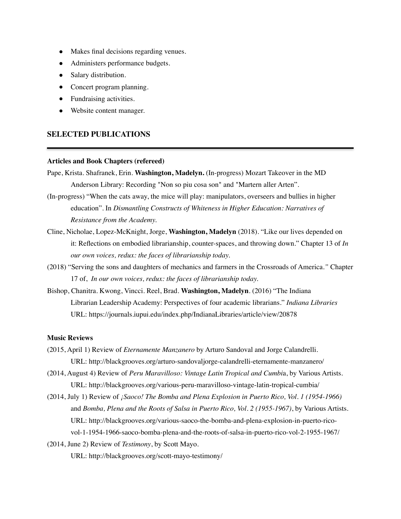- Makes final decisions regarding venues.
- Administers performance budgets.
- Salary distribution.
- Concert program planning.
- Fundraising activities.
- Website content manager.

### **SELECTED PUBLICATIONS**

#### **Articles and Book Chapters (refereed)**

- Pape, Krista. Shafranek, Erin. **Washington, Madelyn.** (In-progress) Mozart Takeover in the MD Anderson Library: Recording "Non so piu cosa son" and "Martern aller Arten".
- (In-progress) "When the cats away, the mice will play: manipulators, overseers and bullies in higher education". In *Dismantling Constructs of Whiteness in Higher Education: Narratives of Resistance from the Academy.*
- Cline, Nicholae, Lopez-McKnight, Jorge, **Washington, Madelyn** (2018). "Like our lives depended on it: Reflections on embodied librarianship, counter-spaces, and throwing down." Chapter 13 of *In our own voices, redux: the faces of librarianship today.*
- (2018) "Serving the sons and daughters of mechanics and farmers in the Crossroads of America.*"* Chapter 17 of, *In our own voices, redux: the faces of librarianship today.*
- Bishop, Chanitra. Kwong, Vincci. Reel, Brad. **Washington, Madelyn**. (2016) "The Indiana Librarian Leadership Academy: Perspectives of four academic librarians." *Indiana Libraries*  URL: https://journals.iupui.edu/index.php/IndianaLibraries/article/view/20878

#### **Music Reviews**

- (2015, April 1) Review of *Eternamente Manzanero* by Arturo Sandoval and Jorge Calandrelli. URL: http://blackgrooves.org/arturo-sandovaljorge-calandrelli-eternamente-manzanero/
- (2014, August 4) Review of *Peru Maravilloso: Vintage Latin Tropical and Cumbi*a, by Various Artists. URL: http://blackgrooves.org/various-peru-maravilloso-vintage-latin-tropical-cumbia/
- (2014, July 1) Review of *¡Saoco! The Bomba and Plena Explosion in Puerto Rico, Vol. 1 (1954-1966)*  and *Bomba, Plena and the Roots of Salsa in Puerto Rico, Vol. 2 (1955-1967)*, by Various Artists. URL: http://blackgrooves.org/various-saoco-the-bomba-and-plena-explosion-in-puerto-ricovol-1-1954-1966-saoco-bomba-plena-and-the-roots-of-salsa-in-puerto-rico-vol-2-1955-1967/
- (2014, June 2) Review of *Testimony*, by Scott Mayo.

URL: http://blackgrooves.org/scott-mayo-testimony/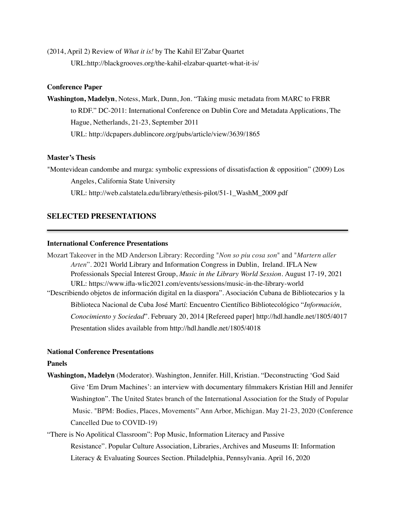(2014, April 2) Review of *What it is!* by The Kahil El'Zabar Quartet URL:http://blackgrooves.org/the-kahil-elzabar-quartet-what-it-is/

#### **Conference Paper**

**Washington, Madelyn**, Notess, Mark, Dunn, Jon. "Taking music metadata from MARC to FRBR to RDF." DC-2011: International Conference on Dublin Core and Metadata Applications, The Hague, Netherlands, 21-23, September 2011 URL: http://dcpapers.dublincore.org/pubs/article/view/3639/1865

#### **Master's Thesis**

"Montevidean candombe and murga: symbolic expressions of dissatisfaction & opposition" (2009) Los Angeles, California State University

URL: http://web.calstatela.edu/library/ethesis-pilot/51-1\_WashM\_2009.pdf

## **SELECTED PRESENTATIONS**

#### **International Conference Presentations**

Mozart Takeover in the MD Anderson Library: Recording "*Non so piu cosa son*" and "*Martern aller Arten*". 2021 World Library and Information Congress in Dublin, Ireland. IFLA New Professionals Special Interest Group, *Music in the Library World Session.* August 17-19, 2021 URL: https://www.ifla-wlic2021.com/events/sessions/music-in-the-library-world "Describiendo objetos de información digital en la diaspora". Asociación Cubana de Bibliotecarios y la Biblioteca Nacional de Cuba José Martí: Encuentro Científico Bibliotecológico "*Información, Conocimiento y Sociedad*". February 20, 2014 [Refereed paper] http://hdl.handle.net/1805/4017 Presentation slides available from http://hdl.handle.net/1805/4018

#### **National Conference Presentations**

## **Panels**

- **Washington, Madelyn** (Moderator). Washington, Jennifer. Hill, Kristian. "Deconstructing 'God Said Give 'Em Drum Machines': an interview with documentary filmmakers Kristian Hill and Jennifer Washington". The United States branch of the International Association for the Study of Popular Music. "BPM: Bodies, Places, Movements" Ann Arbor, Michigan. May 21-23, 2020 (Conference Cancelled Due to COVID-19)
- "There is No Apolitical Classroom": Pop Music, Information Literacy and Passive Resistance". Popular Culture Association, Libraries, Archives and Museums II: Information Literacy & Evaluating Sources Section. Philadelphia, Pennsylvania. April 16, 2020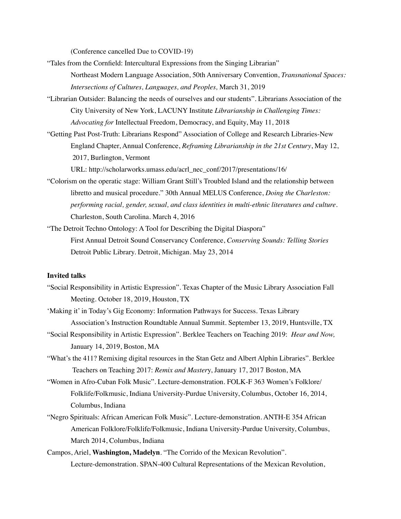(Conference cancelled Due to COVID-19)

- "Tales from the Cornfield: Intercultural Expressions from the Singing Librarian" Northeast Modern Language Association, 50th Anniversary Convention, *Transnational Spaces: Intersections of Cultures, Languages, and Peoples,* March 31, 2019
- "Librarian Outsider: Balancing the needs of ourselves and our students". Librarians Association of the City University of New York, LACUNY Institute *Librarianship in Challenging Times: Advocating for* Intellectual Freedom, Democracy, and Equity, May 11, 2018
- "Getting Past Post-Truth: Librarians Respond" Association of College and Research Libraries-New England Chapter, Annual Conference, *Reframing Librarianship in the 21st Century*, May 12, 2017, Burlington, Vermont

URL: http://scholarworks.umass.edu/acrl\_nec\_conf/2017/presentations/16/

- "Colorism on the operatic stage: William Grant Still's Troubled Island and the relationship between libretto and musical procedure." 30th Annual MELUS Conference, *Doing the Charleston: performing racial, gender, sexual, and class identities in multi-ethnic literatures and culture*. Charleston, South Carolina. March 4, 2016
- "The Detroit Techno Ontology: A Tool for Describing the Digital Diaspora" First Annual Detroit Sound Conservancy Conference, *Conserving Sounds: Telling Stories* Detroit Public Library. Detroit, Michigan. May 23, 2014

#### **Invited talks**

- "Social Responsibility in Artistic Expression". Texas Chapter of the Music Library Association Fall Meeting. October 18, 2019, Houston, TX
- 'Making it' in Today's Gig Economy: Information Pathways for Success. Texas Library Association's Instruction Roundtable Annual Summit. September 13, 2019, Huntsville, TX
- "Social Responsibility in Artistic Expression". Berklee Teachers on Teaching 2019: *Hear and Now,*  January 14, 2019, Boston, MA
- "What's the 411? Remixing digital resources in the Stan Getz and Albert Alphin Libraries". Berklee Teachers on Teaching 2017: *Remix and Master*y, January 17, 2017 Boston, MA
- "Women in Afro-Cuban Folk Music". Lecture-demonstration. FOLK-F 363 Women's Folklore/ Folklife/Folkmusic, Indiana University-Purdue University, Columbus, October 16, 2014, Columbus, Indiana
- "Negro Spirituals: African American Folk Music". Lecture-demonstration. ANTH-E 354 African American Folklore/Folklife/Folkmusic, Indiana University-Purdue University, Columbus, March 2014, Columbus, Indiana
- Campos, Ariel, **Washington, Madelyn**. "The Corrido of the Mexican Revolution". Lecture-demonstration. SPAN-400 Cultural Representations of the Mexican Revolution,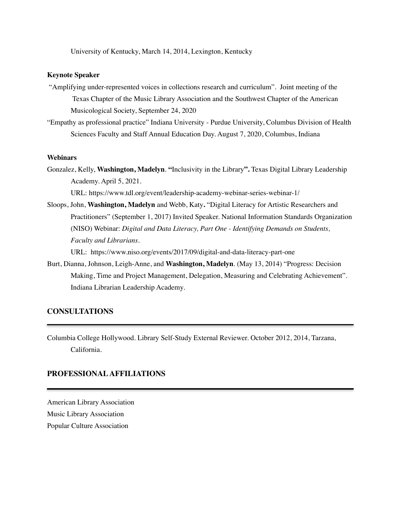University of Kentucky, March 14, 2014, Lexington, Kentucky

### **Keynote Speaker**

- "Amplifying under-represented voices in collections research and curriculum". Joint meeting of the Texas Chapter of the Music Library Association and the Southwest Chapter of the American Musicological Society, September 24, 2020
- "Empathy as professional practice" Indiana University Purdue University, Columbus Division of Health Sciences Faculty and Staff Annual Education Day. August 7, 2020, Columbus, Indiana

#### **Webinars**

Gonzalez, Kelly, **Washington, Madelyn**. **"**Inclusivity in the Library**".** Texas Digital Library Leadership Academy. April 5, 2021.

URL: https://www.tdl.org/event/leadership-academy-webinar-series-webinar-1/

Sloops, John, **Washington, Madelyn** and Webb, Katy**.** "Digital Literacy for Artistic Researchers and Practitioners" (September 1, 2017) Invited Speaker. National Information Standards Organization (NISO) Webinar: *Digital and Data Literacy, Part One - Identifying Demands on Students, Faculty and Librarians*.

URL: https://www.niso.org/events/2017/09/digital-and-data-literacy-part-one

Burt, Dianna, Johnson, Leigh-Anne, and **Washington, Madelyn**. (May 13, 2014) "Progress: Decision Making, Time and Project Management, Delegation, Measuring and Celebrating Achievement". Indiana Librarian Leadership Academy.

## **CONSULTATIONS**

Columbia College Hollywood. Library Self-Study External Reviewer. October 2012, 2014, Tarzana, California.

### **PROFESSIONAL AFFILIATIONS**

American Library Association Music Library Association Popular Culture Association